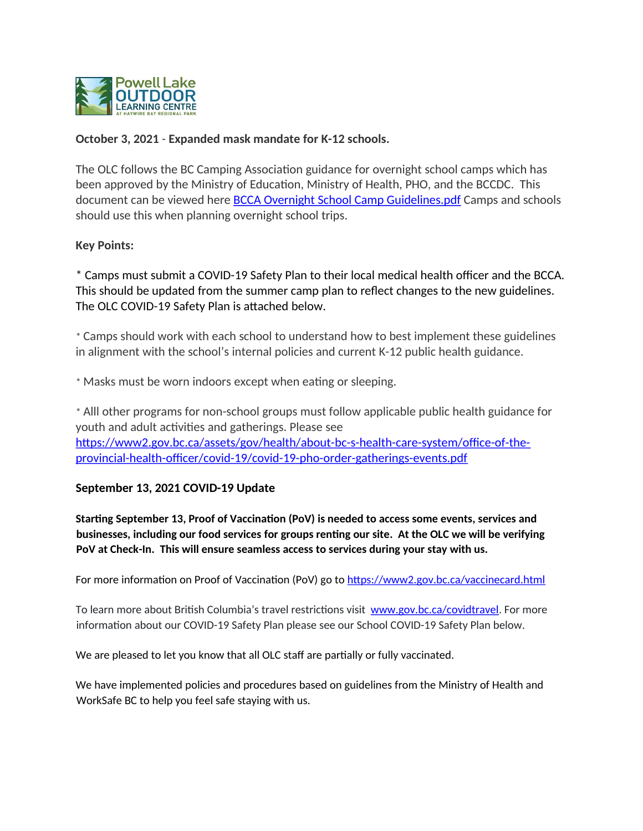

#### October 3, 2021 - Expanded mask mandate for K-12 schools.

The OLC follows the BC Camping Association guidance for overnight school camps which has been approved by the Ministry of Education, Ministry of Health, PHO, and the BCCDC. This document can be viewed here **BCCA Overnight School Camp Guidelines.pdf Camps and schools** should use this when planning overnight school trips.

#### **Key Points:**

\* Camps must submit a COVID-19 Safety Plan to their local medical health officer and the BCCA. This should be updated from the summer camp plan to reflect changes to the new guidelines. The OLC COVID-19 Safety Plan is attached below.

\* Camps should work with each school to understand how to best implement these guidelines in alignment with the school's internal policies and current K-12 public health guidance.

\* Masks must be worn indoors except when eating or sleeping.

\* Alll other programs for non-school groups must follow applicable public health guidance for youth and adult activities and gatherings. Please see https://www2.gov.bc.ca/assets/gov/health/about-bc-s-health-care-system/office-of-theprovincial-health-officer/covid-19/covid-19-pho-order-gatherings-events.pdf

#### September 13, 2021 COVID-19 Update

Starting September 13, Proof of Vaccination (PoV) is needed to access some events, services and businesses, including our food services for groups renting our site. At the OLC we will be verifying PoV at Check-In. This will ensure seamless access to services during your stay with us.

For more information on Proof of Vaccination (PoV) go to https://www2.gov.bc.ca/vaccinecard.html

To learn more about British Columbia's travel restrictions visit www.gov.bc.ca/covidtravel. For more information about our COVID-19 Safety Plan please see our School COVID-19 Safety Plan below.

We are pleased to let you know that all OLC staff are partially or fully vaccinated.

We have implemented policies and procedures based on guidelines from the Ministry of Health and WorkSafe BC to help you feel safe staying with us.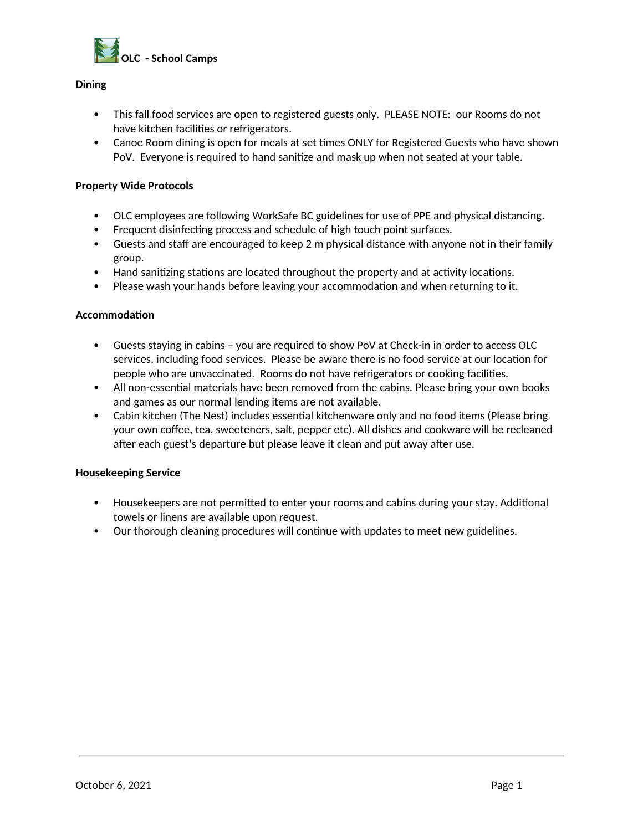

#### **Dining**

- This fall food services are open to registered guests only. PLEASE NOTE: our Rooms do not have kitchen facilities or refrigerators.
- Canoe Room dining is open for meals at set times ONLY for Registered Guests who have shown PoV. Everyone is required to hand sanitize and mask up when not seated at your table.

#### **Property Wide Protocols**

- OLC employees are following WorkSafe BC guidelines for use of PPE and physical distancing.
- Frequent disinfecting process and schedule of high touch point surfaces.
- Guests and staff are encouraged to keep 2 m physical distance with anyone not in their family group.
- Hand sanitizing stations are located throughout the property and at activity locations.
- Please wash your hands before leaving your accommodation and when returning to it.

#### **Accommodation**

- $\bullet$ Guests staying in cabins - you are required to show PoV at Check-in in order to access OLC services, including food services. Please be aware there is no food service at our location for people who are unvaccinated. Rooms do not have refrigerators or cooking facilities.
- All non-essential materials have been removed from the cabins. Please bring your own books and games as our normal lending items are not available.
- Cabin kitchen (The Nest) includes essential kitchenware only and no food items (Please bring your own coffee, tea, sweeteners, salt, pepper etc). All dishes and cookware will be recleaned after each guest's departure but please leave it clean and put away after use.

#### **Housekeeping Service**

- Housekeepers are not permitted to enter your rooms and cabins during your stay. Additional towels or linens are available upon request.
- Our thorough cleaning procedures will continue with updates to meet new guidelines.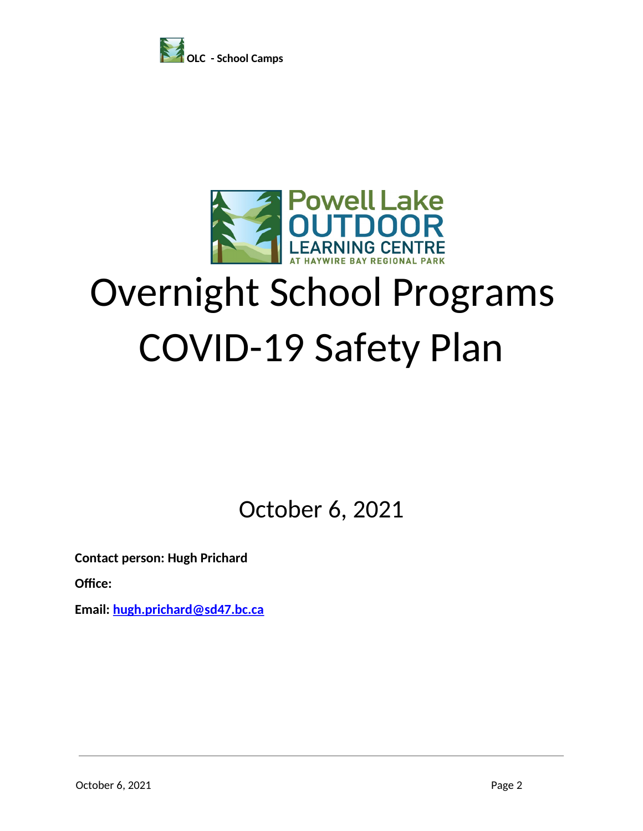



# **Overnight School Programs COVID-19 Safety Plan**

October 6, 2021

**Contact person: Hugh Prichard** 

Office:

Email: hugh.prichard@sd47.bc.ca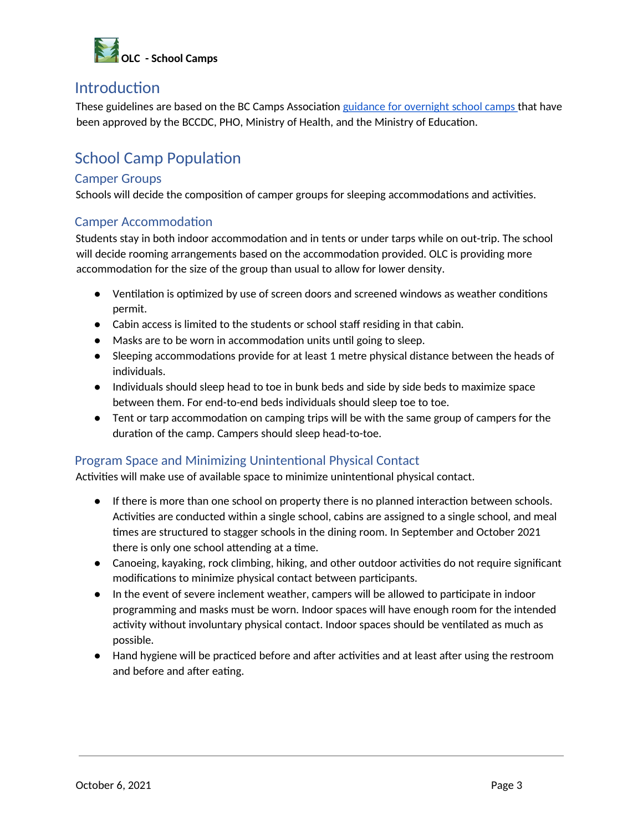

### **Introduction**

These guidelines are based on the BC Camps Association guidance for overnight school camps that have been approved by the BCCDC, PHO, Ministry of Health, and the Ministry of Education.

### **School Camp Population**

#### **Camper Groups**

Schools will decide the composition of camper groups for sleeping accommodations and activities.

#### **Camper Accommodation**

Students stay in both indoor accommodation and in tents or under tarps while on out-trip. The school will decide rooming arrangements based on the accommodation provided. OLC is providing more accommodation for the size of the group than usual to allow for lower density.

- Ventilation is optimized by use of screen doors and screened windows as weather conditions permit.
- Cabin access is limited to the students or school staff residing in that cabin.
- Masks are to be worn in accommodation units until going to sleep.
- Sleeping accommodations provide for at least 1 metre physical distance between the heads of individuals.
- Individuals should sleep head to toe in bunk beds and side by side beds to maximize space between them. For end-to-end beds individuals should sleep toe to toe.
- Tent or tarp accommodation on camping trips will be with the same group of campers for the duration of the camp. Campers should sleep head-to-toe.

#### **Program Space and Minimizing Unintentional Physical Contact**

Activities will make use of available space to minimize unintentional physical contact.

- If there is more than one school on property there is no planned interaction between schools. Activities are conducted within a single school, cabins are assigned to a single school, and meal times are structured to stagger schools in the dining room. In September and October 2021 there is only one school attending at a time.
- Canoeing, kayaking, rock climbing, hiking, and other outdoor activities do not require significant modifications to minimize physical contact between participants.
- In the event of severe inclement weather, campers will be allowed to participate in indoor programming and masks must be worn. Indoor spaces will have enough room for the intended activity without involuntary physical contact. Indoor spaces should be ventilated as much as possible.
- Hand hygiene will be practiced before and after activities and at least after using the restroom and before and after eating.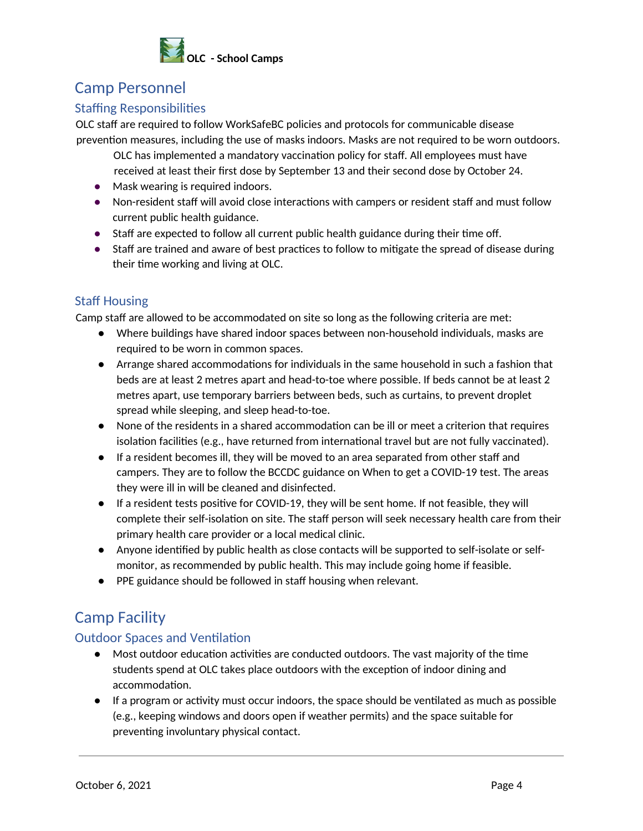

# **Camp Personnel**

#### **Staffing Responsibilities**

OLC staff are required to follow WorkSafeBC policies and protocols for communicable disease prevention measures, including the use of masks indoors. Masks are not required to be worn outdoors.

- OLC has implemented a mandatory vaccination policy for staff. All employees must have received at least their first dose by September 13 and their second dose by October 24.
- Mask wearing is required indoors.
- Non-resident staff will avoid close interactions with campers or resident staff and must follow current public health guidance.
- Staff are expected to follow all current public health guidance during their time off.
- Staff are trained and aware of best practices to follow to mitigate the spread of disease during their time working and living at OLC.

#### **Staff Housing**

Camp staff are allowed to be accommodated on site so long as the following criteria are met:

- Where buildings have shared indoor spaces between non-household individuals, masks are required to be worn in common spaces.
- Arrange shared accommodations for individuals in the same household in such a fashion that beds are at least 2 metres apart and head-to-toe where possible. If beds cannot be at least 2 metres apart, use temporary barriers between beds, such as curtains, to prevent droplet spread while sleeping, and sleep head-to-toe.
- None of the residents in a shared accommodation can be ill or meet a criterion that requires isolation facilities (e.g., have returned from international travel but are not fully vaccinated).
- If a resident becomes ill, they will be moved to an area separated from other staff and campers. They are to follow the BCCDC guidance on When to get a COVID-19 test. The areas they were ill in will be cleaned and disinfected.
- If a resident tests positive for COVID-19, they will be sent home. If not feasible, they will complete their self-isolation on site. The staff person will seek necessary health care from their primary health care provider or a local medical clinic.
- Anyone identified by public health as close contacts will be supported to self-isolate or selfmonitor, as recommended by public health. This may include going home if feasible.
- PPE guidance should be followed in staff housing when relevant.

# **Camp Facility**

#### **Outdoor Spaces and Ventilation**

- Most outdoor education activities are conducted outdoors. The vast majority of the time students spend at OLC takes place outdoors with the exception of indoor dining and accommodation.
- $\bullet$  If a program or activity must occur indoors, the space should be ventilated as much as possible (e.g., keeping windows and doors open if weather permits) and the space suitable for preventing involuntary physical contact.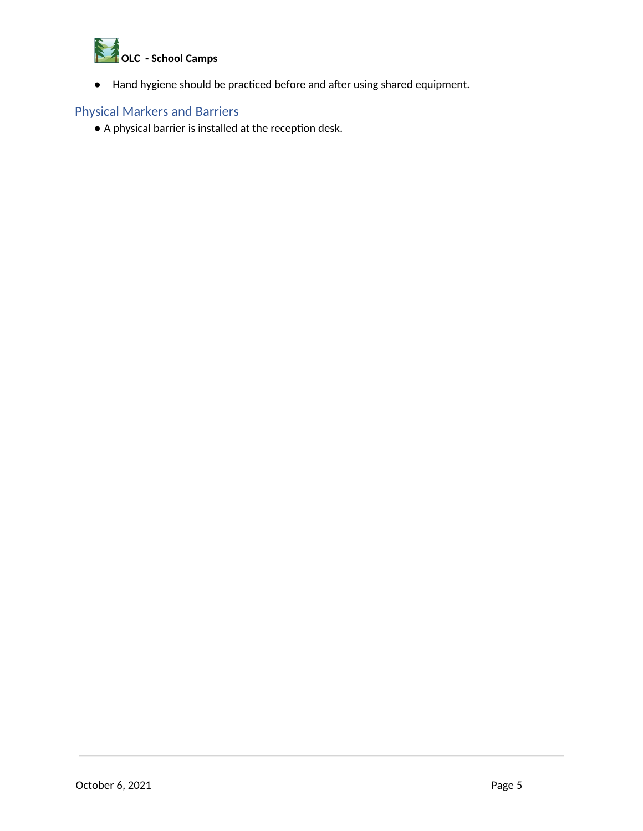

• Hand hygiene should be practiced before and after using shared equipment.

#### **Physical Markers and Barriers**

• A physical barrier is installed at the reception desk.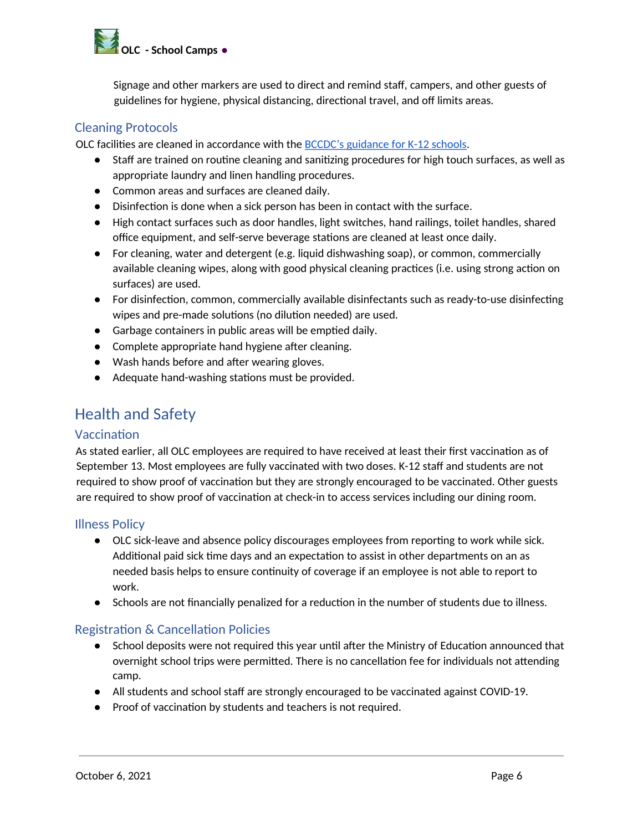

Signage and other markers are used to direct and remind staff, campers, and other guests of guidelines for hygiene, physical distancing, directional travel, and off limits areas.

#### **Cleaning Protocols**

OLC facilities are cleaned in accordance with the BCCDC's guidance for K-12 schools.

- Staff are trained on routine cleaning and sanitizing procedures for high touch surfaces, as well as appropriate laundry and linen handling procedures.
- Common areas and surfaces are cleaned daily.
- Disinfection is done when a sick person has been in contact with the surface.
- High contact surfaces such as door handles, light switches, hand railings, toilet handles, shared office equipment, and self-serve beverage stations are cleaned at least once daily.
- For cleaning, water and detergent (e.g. liquid dishwashing soap), or common, commercially available cleaning wipes, along with good physical cleaning practices (i.e. using strong action on surfaces) are used.
- For disinfection, common, commercially available disinfectants such as ready-to-use disinfecting wipes and pre-made solutions (no dilution needed) are used.
- Garbage containers in public areas will be emptied daily.
- Complete appropriate hand hygiene after cleaning.
- Wash hands before and after wearing gloves.
- Adequate hand-washing stations must be provided.

### **Health and Safety**

#### Vaccination

As stated earlier, all OLC employees are required to have received at least their first vaccination as of September 13. Most employees are fully vaccinated with two doses. K-12 staff and students are not required to show proof of vaccination but they are strongly encouraged to be vaccinated. Other guests are required to show proof of vaccination at check-in to access services including our dining room.

#### **Illness Policy**

- OLC sick-leave and absence policy discourages employees from reporting to work while sick. Additional paid sick time days and an expectation to assist in other departments on an as needed basis helps to ensure continuity of coverage if an employee is not able to report to work.
- Schools are not financially penalized for a reduction in the number of students due to illness.

#### **Registration & Cancellation Policies**

- School deposits were not required this year until after the Ministry of Education announced that overnight school trips were permitted. There is no cancellation fee for individuals not attending camp.
- All students and school staff are strongly encouraged to be vaccinated against COVID-19.
- Proof of vaccination by students and teachers is not required.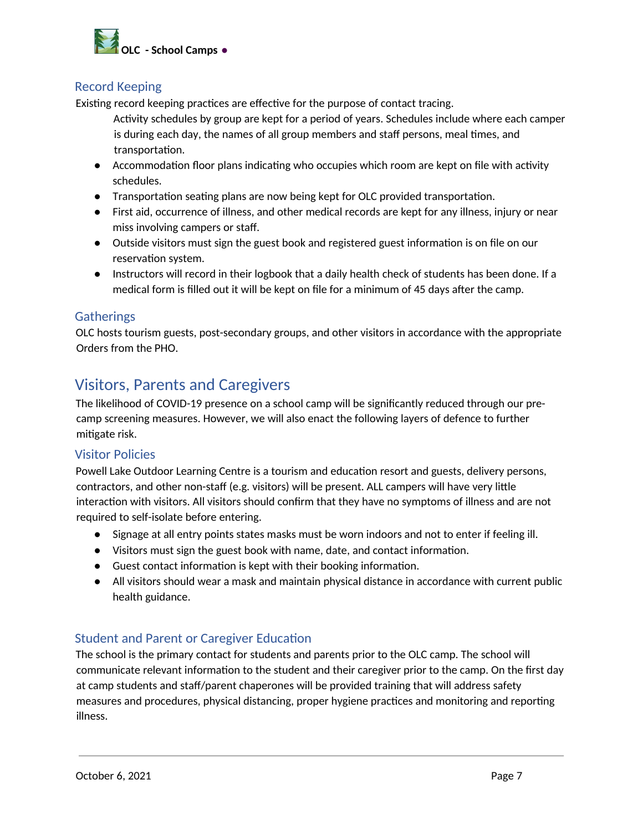

#### **Record Keeping**

Existing record keeping practices are effective for the purpose of contact tracing.

- Activity schedules by group are kept for a period of years. Schedules include where each camper is during each day, the names of all group members and staff persons, meal times, and transportation.
- Accommodation floor plans indicating who occupies which room are kept on file with activity schedules.
- Transportation seating plans are now being kept for OLC provided transportation.
- First aid, occurrence of illness, and other medical records are kept for any illness, injury or near miss involving campers or staff.
- Outside visitors must sign the guest book and registered guest information is on file on our reservation system.
- Instructors will record in their logbook that a daily health check of students has been done. If a medical form is filled out it will be kept on file for a minimum of 45 days after the camp.

#### **Gatherings**

OLC hosts tourism guests, post-secondary groups, and other visitors in accordance with the appropriate Orders from the PHO.

# **Visitors, Parents and Caregivers**

The likelihood of COVID-19 presence on a school camp will be significantly reduced through our precamp screening measures. However, we will also enact the following layers of defence to further mitigate risk.

#### **Visitor Policies**

Powell Lake Outdoor Learning Centre is a tourism and education resort and guests, delivery persons, contractors, and other non-staff (e.g. visitors) will be present. ALL campers will have very little interaction with visitors. All visitors should confirm that they have no symptoms of illness and are not required to self-isolate before entering.

- Signage at all entry points states masks must be worn indoors and not to enter if feeling ill.
- Visitors must sign the guest book with name, date, and contact information.
- Guest contact information is kept with their booking information.
- All visitors should wear a mask and maintain physical distance in accordance with current public health guidance.

#### **Student and Parent or Caregiver Education**

The school is the primary contact for students and parents prior to the OLC camp. The school will communicate relevant information to the student and their caregiver prior to the camp. On the first day at camp students and staff/parent chaperones will be provided training that will address safety measures and procedures, physical distancing, proper hygiene practices and monitoring and reporting illness.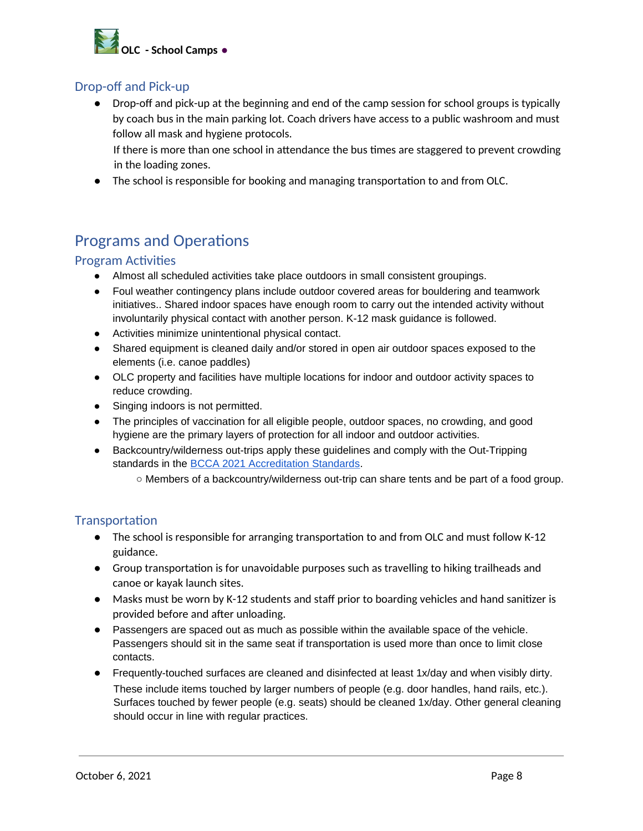

#### **Drop-off and Pick-up**

• Drop-off and pick-up at the beginning and end of the camp session for school groups is typically by coach bus in the main parking lot. Coach drivers have access to a public washroom and must follow all mask and hygiene protocols.

If there is more than one school in attendance the bus times are staggered to prevent crowding in the loading zones.

• The school is responsible for booking and managing transportation to and from OLC.

# **Programs and Operations**

#### **Program Activities**

- Almost all scheduled activities take place outdoors in small consistent groupings.
- Foul weather contingency plans include outdoor covered areas for bouldering and teamwork initiatives.. Shared indoor spaces have enough room to carry out the intended activity without involuntarily physical contact with another person. K-12 mask guidance is followed.
- Activities minimize unintentional physical contact.
- Shared equipment is cleaned daily and/or stored in open air outdoor spaces exposed to the elements (i.e. canoe paddles)
- OLC property and facilities have multiple locations for indoor and outdoor activity spaces to reduce crowding.
- Singing indoors is not permitted.
- The principles of vaccination for all eligible people, outdoor spaces, no crowding, and good hygiene are the primary layers of protection for all indoor and outdoor activities.
- Backcountry/wilderness out-trips apply these guidelines and comply with the Out-Tripping standards in the **BCCA 2021 Accreditation Standards**.
	- Members of a backcountry/wilderness out-trip can share tents and be part of a food group.

#### **Transportation**

- The school is responsible for arranging transportation to and from OLC and must follow K-12 guidance.
- Group transportation is for unavoidable purposes such as travelling to hiking trailheads and canoe or kayak launch sites.
- Masks must be worn by K-12 students and staff prior to boarding vehicles and hand sanitizer is provided before and after unloading.
- Passengers are spaced out as much as possible within the available space of the vehicle. Passengers should sit in the same seat if transportation is used more than once to limit close contacts.
- Frequently-touched surfaces are cleaned and disinfected at least 1x/day and when visibly dirty. These include items touched by larger numbers of people (e.g. door handles, hand rails, etc.). Surfaces touched by fewer people (e.g. seats) should be cleaned 1x/day. Other general cleaning should occur in line with regular practices.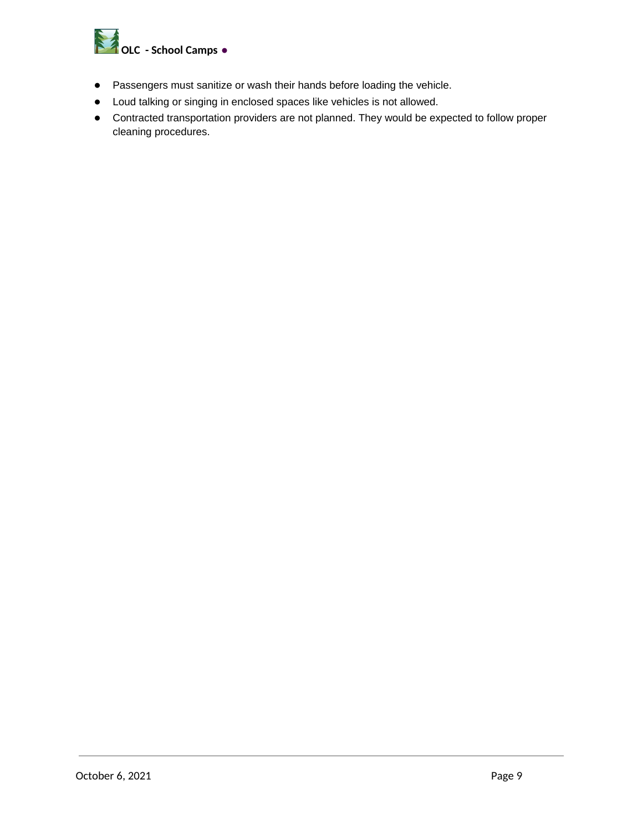

- Passengers must sanitize or wash their hands before loading the vehicle.  $\bullet$
- Loud talking or singing in enclosed spaces like vehicles is not allowed.  $\bullet$
- Contracted transportation providers are not planned. They would be expected to follow proper cleaning procedures.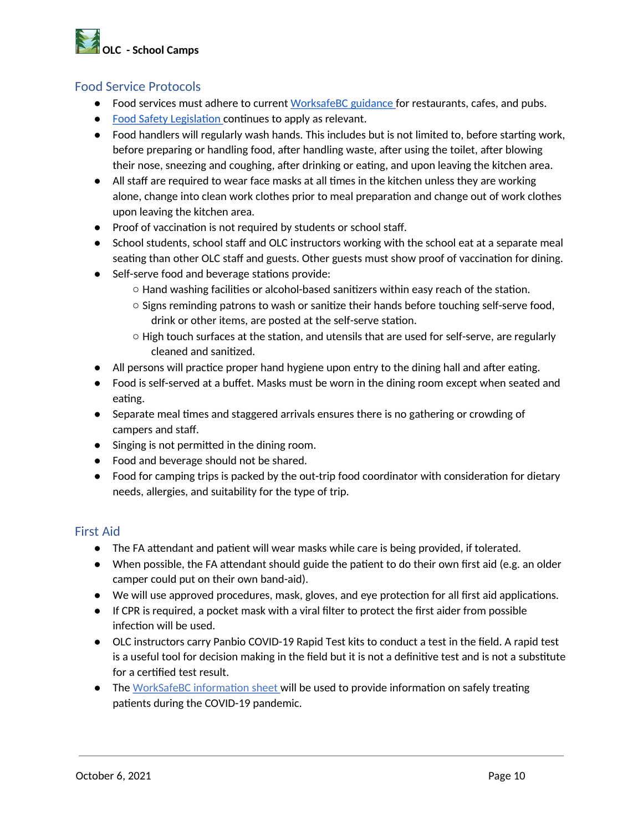# **OLC** - School Camps

#### **Food Service Protocols**

- Food services must adhere to current WorksafeBC guidance for restaurants, cafes, and pubs.
- Food Safety Legislation continues to apply as relevant.
- Food handlers will regularly wash hands. This includes but is not limited to, before starting work, before preparing or handling food, after handling waste, after using the toilet, after blowing their nose, sneezing and coughing, after drinking or eating, and upon leaving the kitchen area.
- All staff are required to wear face masks at all times in the kitchen unless they are working alone, change into clean work clothes prior to meal preparation and change out of work clothes upon leaving the kitchen area.
- Proof of vaccination is not required by students or school staff.
- School students, school staff and OLC instructors working with the school eat at a separate meal seating than other OLC staff and guests. Other guests must show proof of vaccination for dining.
- Self-serve food and beverage stations provide:
	- $\circ$  Hand washing facilities or alcohol-based sanitizers within easy reach of the station.
	- Signs reminding patrons to wash or sanitize their hands before touching self-serve food, drink or other items, are posted at the self-serve station.
	- $\circ$  High touch surfaces at the station, and utensils that are used for self-serve, are regularly cleaned and sanitized.
- All persons will practice proper hand hygiene upon entry to the dining hall and after eating.
- Food is self-served at a buffet. Masks must be worn in the dining room except when seated and eating.
- Separate meal times and staggered arrivals ensures there is no gathering or crowding of campers and staff.
- Singing is not permitted in the dining room.
- Food and beverage should not be shared.
- Food for camping trips is packed by the out-trip food coordinator with consideration for dietary needs, allergies, and suitability for the type of trip.

#### **First Aid**

- The FA attendant and patient will wear masks while care is being provided, if tolerated.
- When possible, the FA attendant should guide the patient to do their own first aid (e.g. an older camper could put on their own band-aid).
- We will use approved procedures, mask, gloves, and eye protection for all first aid applications.
- If CPR is required, a pocket mask with a viral filter to protect the first aider from possible infection will be used.
- OLC instructors carry Panbio COVID-19 Rapid Test kits to conduct a test in the field. A rapid test is a useful tool for decision making in the field but it is not a definitive test and is not a substitute for a certified test result.
- The WorkSafeBC information sheet will be used to provide information on safely treating patients during the COVID-19 pandemic.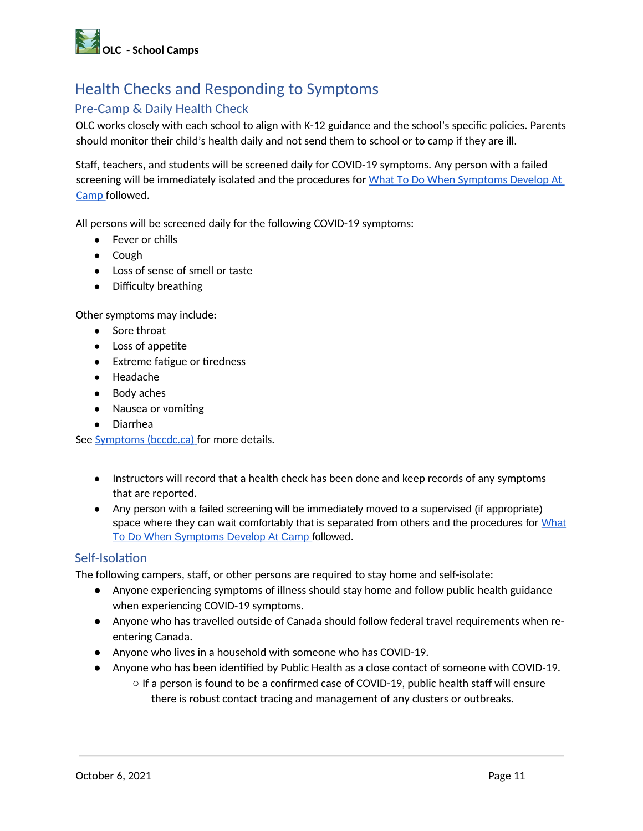

# **Health Checks and Responding to Symptoms**

#### Pre-Camp & Daily Health Check

OLC works closely with each school to align with K-12 guidance and the school's specific policies. Parents should monitor their child's health daily and not send them to school or to camp if they are ill.

Staff, teachers, and students will be screened daily for COVID-19 symptoms. Any person with a failed screening will be immediately isolated and the procedures for What To Do When Symptoms Develop At Camp followed.

All persons will be screened daily for the following COVID-19 symptoms:

- Fever or chills
- $\bullet$  Cough
- Loss of sense of smell or taste
- Difficulty breathing

Other symptoms may include:

- Sore throat
- Loss of appetite
- Extreme fatigue or tiredness
- Headache
- Body aches
- Nausea or vomiting
- Diarrhea

See Symptoms (bccdc.ca) for more details.

- Instructors will record that a health check has been done and keep records of any symptoms that are reported.
- Any person with a failed screening will be immediately moved to a supervised (if appropriate) space where they can wait comfortably that is separated from others and the procedures for What To Do When Symptoms Develop At Camp followed.

#### Self-Isolation

The following campers, staff, or other persons are required to stay home and self-isolate:

- Anyone experiencing symptoms of illness should stay home and follow public health guidance when experiencing COVID-19 symptoms.
- Anyone who has travelled outside of Canada should follow federal travel requirements when reentering Canada.
- Anyone who lives in a household with someone who has COVID-19.
- Anyone who has been identified by Public Health as a close contact of someone with COVID-19.
	- $\circ$  If a person is found to be a confirmed case of COVID-19, public health staff will ensure there is robust contact tracing and management of any clusters or outbreaks.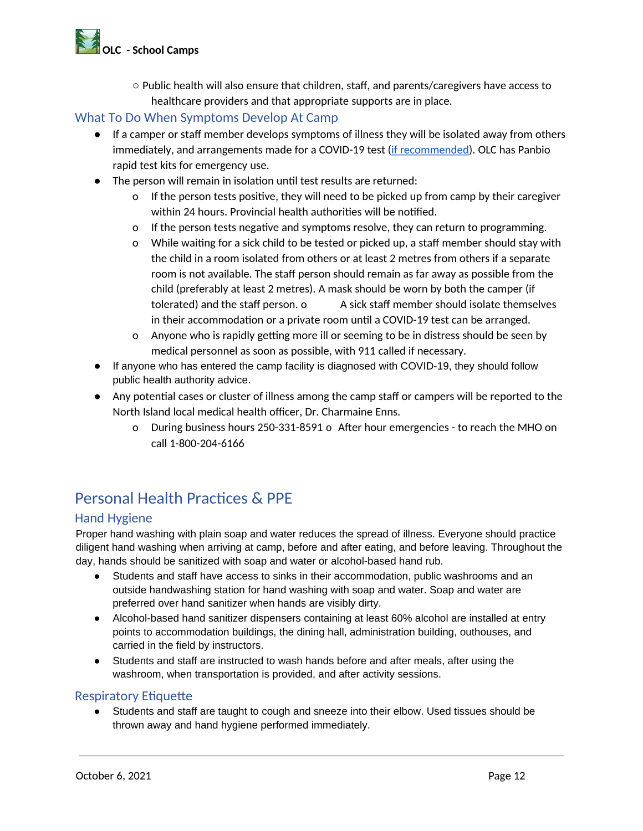# **AND CONSTRUCTED**

 $\circ$  Public health will also ensure that children, staff, and parents/caregivers have access to healthcare providers and that appropriate supports are in place.

#### What To Do When Symptoms Develop At Camp

- If a camper or staff member develops symptoms of illness they will be isolated away from others immediately, and arrangements made for a COVID-19 test (if recommended). OLC has Panbio rapid test kits for emergency use.
- The person will remain in isolation until test results are returned:
	- If the person tests positive, they will need to be picked up from camp by their caregiver  $\mathbf{o}$ within 24 hours. Provincial health authorities will be notified.
	- o If the person tests negative and symptoms resolve, they can return to programming.
	- o While waiting for a sick child to be tested or picked up, a staff member should stay with the child in a room isolated from others or at least 2 metres from others if a separate room is not available. The staff person should remain as far away as possible from the child (preferably at least 2 metres). A mask should be worn by both the camper (if tolerated) and the staff person. o A sick staff member should isolate themselves in their accommodation or a private room until a COVID-19 test can be arranged.
	- o Anyone who is rapidly getting more ill or seeming to be in distress should be seen by medical personnel as soon as possible, with 911 called if necessary.
- If anyone who has entered the camp facility is diagnosed with COVID-19, they should follow public health authority advice.
- Any potential cases or cluster of illness among the camp staff or campers will be reported to the North Island local medical health officer, Dr. Charmaine Enns.
	- o During business hours 250-331-8591 o After hour emergencies to reach the MHO on call 1-800-204-6166

# Personal Health Practices & PPF

#### **Hand Hygiene**

Proper hand washing with plain soap and water reduces the spread of illness. Everyone should practice diligent hand washing when arriving at camp, before and after eating, and before leaving. Throughout the day, hands should be sanitized with soap and water or alcohol-based hand rub.

- Students and staff have access to sinks in their accommodation, public washrooms and an  $\bullet$ outside handwashing station for hand washing with soap and water. Soap and water are preferred over hand sanitizer when hands are visibly dirty.
- Alcohol-based hand sanitizer dispensers containing at least 60% alcohol are installed at entry points to accommodation buildings, the dining hall, administration building, outhouses, and carried in the field by instructors.
- Students and staff are instructed to wash hands before and after meals, after using the washroom, when transportation is provided, and after activity sessions.

#### **Respiratory Etiquette**

Students and staff are taught to cough and sneeze into their elbow. Used tissues should be thrown away and hand hygiene performed immediately.